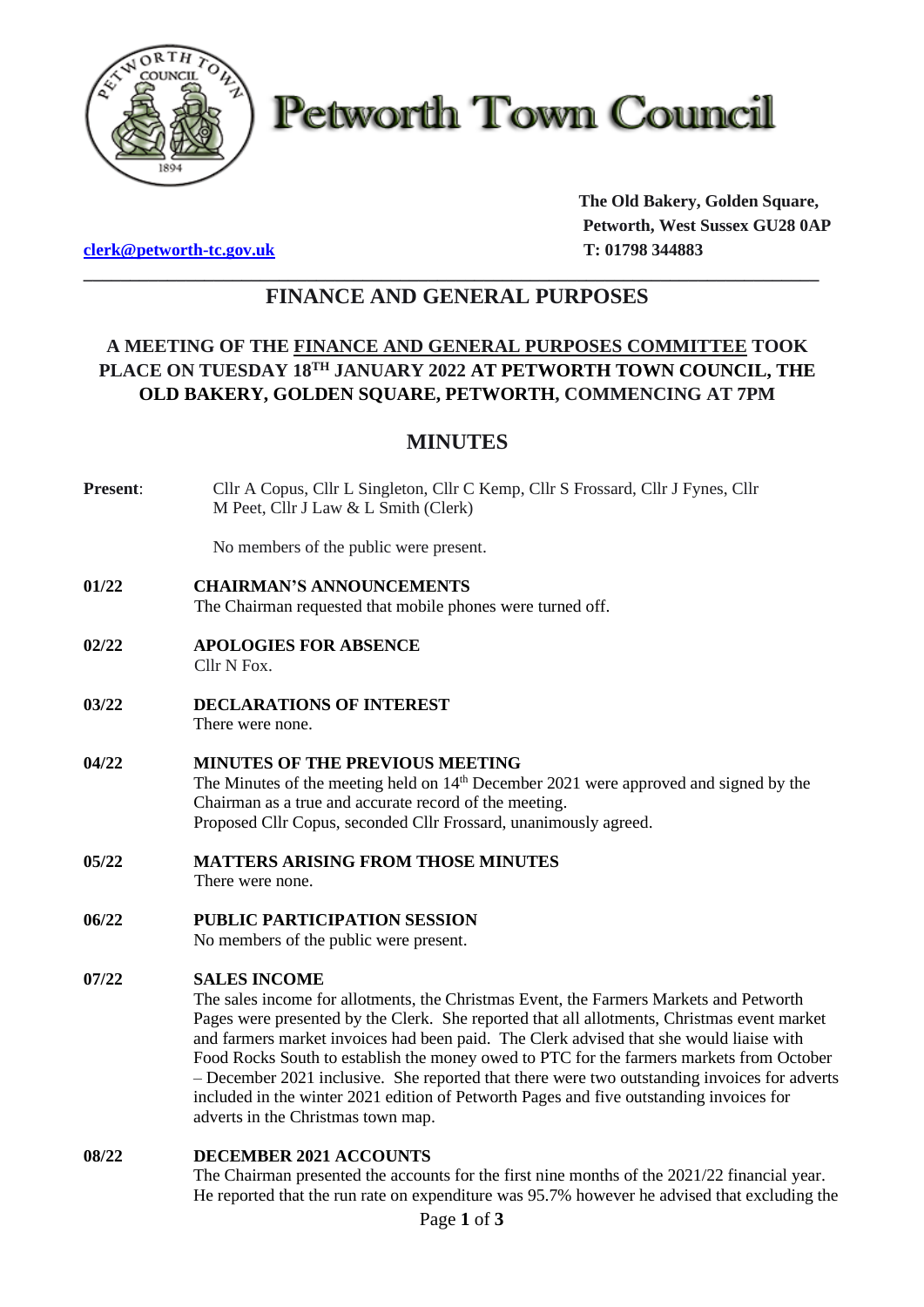

**Petworth Town Council** 

**[clerk@petworth-tc.gov.uk](mailto:clerk@petworth-tc.gov.uk) T: 01798 344883**

**The Old Bakery, Golden Square, Petworth, West Sussex GU28 0AP**

## **\_\_\_\_\_\_\_\_\_\_\_\_\_\_\_\_\_\_\_\_\_\_\_\_\_\_\_\_\_\_\_\_\_\_\_\_\_\_\_\_\_\_\_\_\_\_\_\_\_\_\_\_\_\_\_\_\_\_\_\_\_\_\_\_\_\_\_\_\_\_\_\_\_\_\_\_\_\_\_ FINANCE AND GENERAL PURPOSES**

# **A MEETING OF THE FINANCE AND GENERAL PURPOSES COMMITTEE TOOK PLACE ON TUESDAY 18 TH JANUARY 2022 AT PETWORTH TOWN COUNCIL, THE OLD BAKERY, GOLDEN SQUARE, PETWORTH, COMMENCING AT 7PM**

# **MINUTES**

**Present**: Cllr A Copus, Cllr L Singleton, Cllr C Kemp, Cllr S Frossard, Cllr J Fynes, Cllr M Peet, Cllr J Law & L Smith (Clerk)

No members of the public were present.

- **01/22 CHAIRMAN'S ANNOUNCEMENTS** The Chairman requested that mobile phones were turned off.
- **02/22 APOLOGIES FOR ABSENCE** Cllr N Fox.
- **03/22 DECLARATIONS OF INTEREST** There were none.

### **04/22 MINUTES OF THE PREVIOUS MEETING** The Minutes of the meeting held on 14<sup>th</sup> December 2021 were approved and signed by the Chairman as a true and accurate record of the meeting. Proposed Cllr Copus, seconded Cllr Frossard, unanimously agreed.

- **05/22 MATTERS ARISING FROM THOSE MINUTES** There were none.
- **06/22 PUBLIC PARTICIPATION SESSION** No members of the public were present.

## **07/22 SALES INCOME**

The sales income for allotments, the Christmas Event, the Farmers Markets and Petworth Pages were presented by the Clerk. She reported that all allotments, Christmas event market and farmers market invoices had been paid. The Clerk advised that she would liaise with Food Rocks South to establish the money owed to PTC for the farmers markets from October – December 2021 inclusive. She reported that there were two outstanding invoices for adverts included in the winter 2021 edition of Petworth Pages and five outstanding invoices for adverts in the Christmas town map.

### **08/22 DECEMBER 2021 ACCOUNTS**

The Chairman presented the accounts for the first nine months of the 2021/22 financial year. He reported that the run rate on expenditure was 95.7% however he advised that excluding the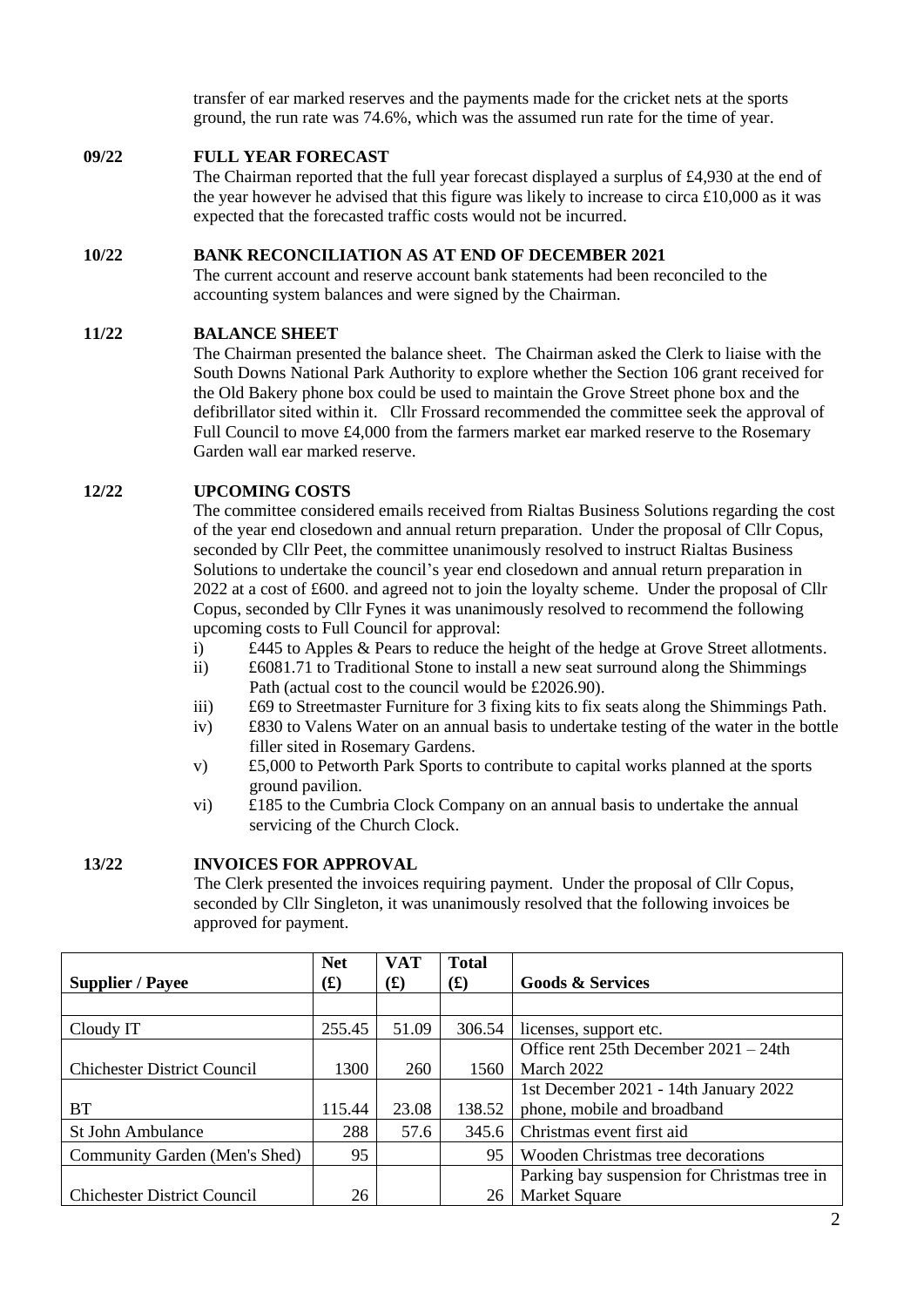transfer of ear marked reserves and the payments made for the cricket nets at the sports ground, the run rate was 74.6%, which was the assumed run rate for the time of year.

### **09/22 FULL YEAR FORECAST**

The Chairman reported that the full year forecast displayed a surplus of £4,930 at the end of the year however he advised that this figure was likely to increase to circa  $\pounds 10,000$  as it was expected that the forecasted traffic costs would not be incurred.

### **10/22 BANK RECONCILIATION AS AT END OF DECEMBER 2021**

The current account and reserve account bank statements had been reconciled to the accounting system balances and were signed by the Chairman.

### **11/22 BALANCE SHEET**

The Chairman presented the balance sheet. The Chairman asked the Clerk to liaise with the South Downs National Park Authority to explore whether the Section 106 grant received for the Old Bakery phone box could be used to maintain the Grove Street phone box and the defibrillator sited within it. Cllr Frossard recommended the committee seek the approval of Full Council to move £4,000 from the farmers market ear marked reserve to the Rosemary Garden wall ear marked reserve.

### **12/22 UPCOMING COSTS**

The committee considered emails received from Rialtas Business Solutions regarding the cost of the year end closedown and annual return preparation. Under the proposal of Cllr Copus, seconded by Cllr Peet, the committee unanimously resolved to instruct Rialtas Business Solutions to undertake the council's year end closedown and annual return preparation in 2022 at a cost of £600. and agreed not to join the loyalty scheme. Under the proposal of Cllr Copus, seconded by Cllr Fynes it was unanimously resolved to recommend the following upcoming costs to Full Council for approval:

- i) £445 to Apples & Pears to reduce the height of the hedge at Grove Street allotments.
- ii) £6081.71 to Traditional Stone to install a new seat surround along the Shimmings Path (actual cost to the council would be £2026.90).
- iii) £69 to Streetmaster Furniture for 3 fixing kits to fix seats along the Shimmings Path.
- iv) £830 to Valens Water on an annual basis to undertake testing of the water in the bottle filler sited in Rosemary Gardens.
- v) £5,000 to Petworth Park Sports to contribute to capital works planned at the sports ground pavilion.
- vi) £185 to the Cumbria Clock Company on an annual basis to undertake the annual servicing of the Church Clock.

### **13/22 INVOICES FOR APPROVAL**

The Clerk presented the invoices requiring payment. Under the proposal of Cllr Copus, seconded by Cllr Singleton, it was unanimously resolved that the following invoices be approved for payment.

| <b>Supplier / Payee</b>            | <b>Net</b><br>$\mathbf{f}(\mathbf{f})$ | <b>VAT</b><br>$\mathbf{f}(\mathbf{f})$ | <b>Total</b><br><b>(L)</b> | <b>Goods &amp; Services</b>                  |
|------------------------------------|----------------------------------------|----------------------------------------|----------------------------|----------------------------------------------|
|                                    |                                        |                                        |                            |                                              |
| Cloudy IT                          | 255.45                                 | 51.09                                  | 306.54                     | licenses, support etc.                       |
|                                    |                                        |                                        |                            | Office rent $25th$ December $2021 - 24th$    |
| <b>Chichester District Council</b> | 1300                                   | 260                                    | 1560                       | March 2022                                   |
|                                    |                                        |                                        |                            | 1st December 2021 - 14th January 2022        |
| <b>BT</b>                          | 115.44                                 | 23.08                                  | 138.52                     | phone, mobile and broadband                  |
| <b>St John Ambulance</b>           | 288                                    | 57.6                                   | 345.6                      | Christmas event first aid                    |
| Community Garden (Men's Shed)      | 95                                     |                                        | 95                         | Wooden Christmas tree decorations            |
|                                    |                                        |                                        |                            | Parking bay suspension for Christmas tree in |
| <b>Chichester District Council</b> | 26                                     |                                        | 26                         | <b>Market Square</b>                         |